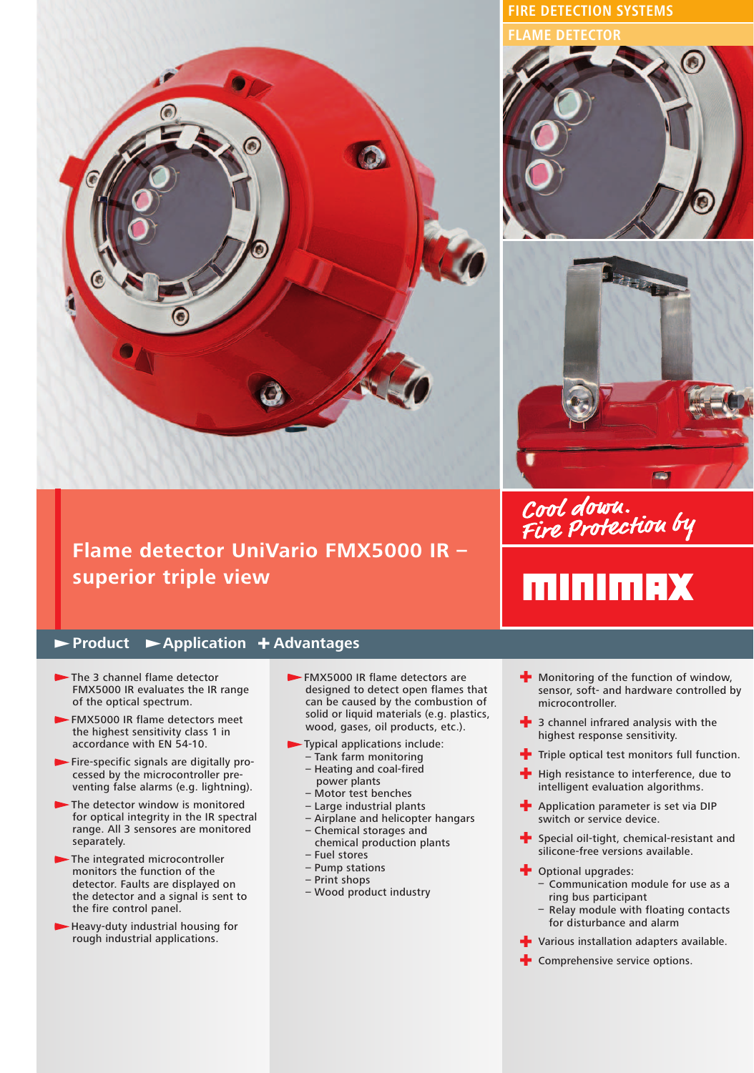

## **Flame detector UniVario FMX5000 IR – superior triple view**

## **Product Application** + **Advantages**

- The 3 channel flame detector FMX5000 IR evaluates the IR range of the optical spectrum.
- FMX5000 IR flame detectors meet the highest sensitivity class 1 in accordance with EN 54-10.
- Fire-specific signals are digitally processed by the microcontroller preventing false alarms (e.g. lightning).
- The detector window is monitored for optical integrity in the IR spectral range. All 3 sensores are monitored separately.
- The integrated microcontroller monitors the function of the detector. Faults are displayed on the detector and a signal is sent to the fire control panel.
- Heavy-duty industrial housing for rough industrial applications.
- FMX5000 IR flame detectors are designed to detect open flames that can be caused by the combustion of solid or liquid materials (e.g. plastics, wood, gases, oil products, etc.).
- Typical applications include: – Tank farm monitoring
	- Heating and coal-fired power plants
	- Motor test benches
	- Large industrial plants
	- Airplane and helicopter hangars – Chemical storages and
	- chemical production plants – Fuel stores
	- Pump stations
	- Print shops
	- Wood product industry

**FIRE DETECTION SYSTEMS FLAME DETECTOR**





Cool down.<br>Fire Protection by

## **MINIMAX**

- + Monitoring of the function of window, sensor, soft- and hardware controlled by microcontroller.
- $\frac{1}{2}$  3 channel infrared analysis with the highest response sensitivity.
- $\blacksquare$  Triple optical test monitors full function.
- High resistance to interference, due to intelligent evaluation algorithms.
- **+** Application parameter is set via DIP switch or service device.
- $\blacktriangle$  Special oil-tight, chemical-resistant and silicone-free versions available.
- **-** Optional upgrades:
	- Communication module for use as a ring bus participant
	- Relay module with floating contacts for disturbance and alarm
- **+** Various installation adapters available.
- $\blacktriangle$  Comprehensive service options.